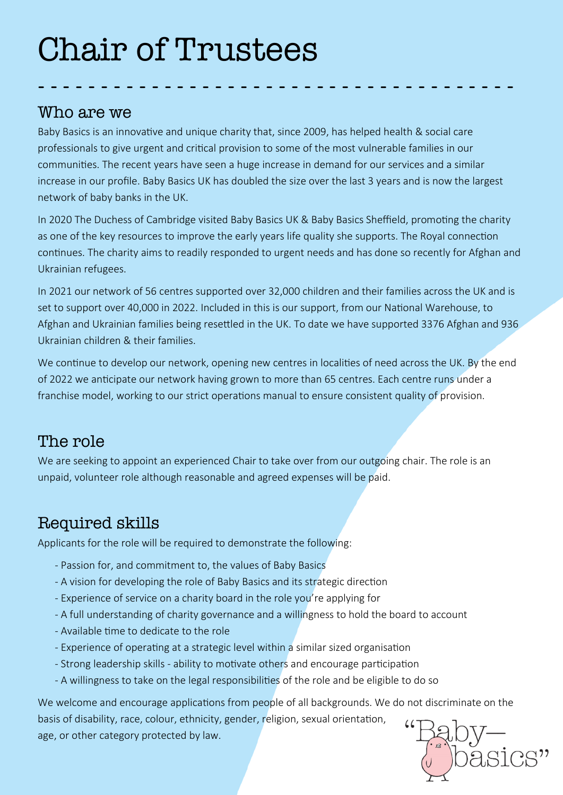# Chair of Trustees

#### Who are we

Baby Basics is an innovative and unique charity that, since 2009, has helped health & social care professionals to give urgent and critical provision to some of the most vulnerable families in our communities. The recent years have seen a huge increase in demand for our services and a similar increase in our profile. Baby Basics UK has doubled the size over the last 3 years and is now the largest network of baby banks in the UK.

- - - - - - - - - - - - - - - - - - - - - - - - - - - - - - - - - - - - - -

In 2020 The Duchess of Cambridge visited Baby Basics UK & Baby Basics Sheffield, promoting the charity as one of the key resources to improve the early years life quality she supports. The Royal connection continues. The charity aims to readily responded to urgent needs and has done so recently for Afghan and Ukrainian refugees.

In 2021 our network of 56 centres supported over 32,000 children and their families across the UK and is set to support over 40,000 in 2022. Included in this is our support, from our National Warehouse, to Afghan and Ukrainian families being resettled in the UK. To date we have supported 3376 Afghan and 936 Ukrainian children & their families.

We continue to develop our network, opening new centres in localities of need across the UK. By the end of 2022 we anticipate our network having grown to more than 65 centres. Each centre runs under a franchise model, working to our strict operations manual to ensure consistent quality of provision.

#### The role

We are seeking to appoint an experienced Chair to take over from our outgoing chair. The role is an unpaid, volunteer role although reasonable and agreed expenses will be paid.

## Required skills

Applicants for the role will be required to demonstrate the following:

- Passion for, and commitment to, the values of Baby Basics
- A vision for developing the role of Baby Basics and its strategic direction
- Experience of service on a charity board in the role you're applying for
- A full understanding of charity governance and a willingness to hold the board to account
- Available time to dedicate to the role
- Experience of operating at a strategic level within a similar sized organisation
- Strong leadership skills ability to motivate others and encourage participation
- A willingness to take on the legal responsibilities of the role and be eligible to do so

We welcome and encourage applications from people of all backgrounds. We do not discriminate on the basis of disability, race, colour, ethnicity, gender, religion, sexual orientation, age, or other category protected by law.